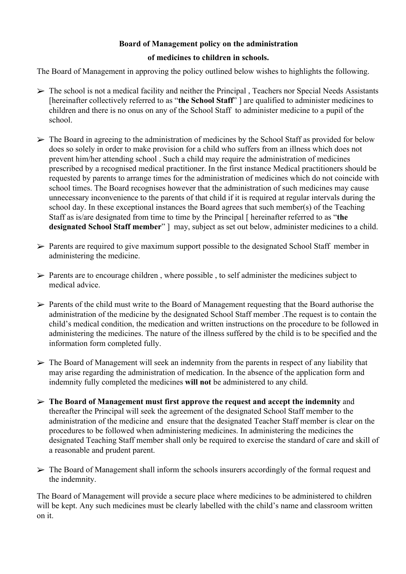# **Board of Management policy on the administration**

## **of medicines to children in schools.**

The Board of Management in approving the policy outlined below wishes to highlights the following.

- $\triangleright$  The school is not a medical facility and neither the Principal, Teachers nor Special Needs Assistants [hereinafter collectively referred to as "**the School Staff**" ] are qualified to administer medicines to children and there is no onus on any of the School Staff to administer medicine to a pupil of the school.
- $\triangleright$  The Board in agreeing to the administration of medicines by the School Staff as provided for below does so solely in order to make provision for a child who suffers from an illness which does not prevent him/her attending school . Such a child may require the administration of medicines prescribed by a recognised medical practitioner. In the first instance Medical practitioners should be requested by parents to arrange times for the administration of medicines which do not coincide with school times. The Board recognises however that the administration of such medicines may cause unnecessary inconvenience to the parents of that child if it is required at regular intervals during the school day. In these exceptional instances the Board agrees that such member(s) of the Teaching Staff as is/are designated from time to time by the Principal [ hereinafter referred to as "**the designated School Staff member**" ] may, subject as set out below, administer medicines to a child.
- $\triangleright$  Parents are required to give maximum support possible to the designated School Staff member in administering the medicine.
- $\triangleright$  Parents are to encourage children, where possible, to self administer the medicines subject to medical advice.
- $\triangleright$  Parents of the child must write to the Board of Management requesting that the Board authorise the administration of the medicine by the designated School Staff member .The request is to contain the child's medical condition, the medication and written instructions on the procedure to be followed in administering the medicines. The nature of the illness suffered by the child is to be specified and the information form completed fully.
- $\triangleright$  The Board of Management will seek an indemnity from the parents in respect of any liability that may arise regarding the administration of medication. In the absence of the application form and indemnity fully completed the medicines **will not** be administered to any child.
- ➢ **The Board of Management must first approve the request and accept the indemnity** and thereafter the Principal will seek the agreement of the designated School Staff member to the administration of the medicine and ensure that the designated Teacher Staff member is clear on the procedures to be followed when administering medicines. In administering the medicines the designated Teaching Staff member shall only be required to exercise the standard of care and skill of a reasonable and prudent parent.
- $\triangleright$  The Board of Management shall inform the schools insurers accordingly of the formal request and the indemnity.

The Board of Management will provide a secure place where medicines to be administered to children will be kept. Any such medicines must be clearly labelled with the child's name and classroom written on it.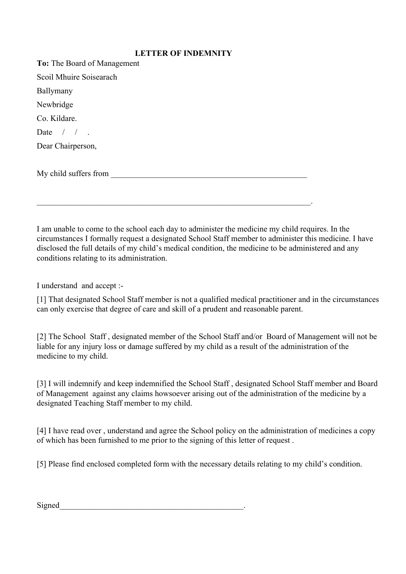#### **LETTER OF INDEMNITY**

| To: The Board of Management |
|-----------------------------|
| Scoil Mhuire Soisearach     |
| Ballymany                   |
| Newbridge                   |
| Co. Kildare.                |
| Date $/ /$ .                |
| Dear Chairperson,           |
|                             |
| My child suffers from       |
|                             |
|                             |

 $\mathcal{L}_\mathcal{L} = \mathcal{L}_\mathcal{L} = \mathcal{L}_\mathcal{L} = \mathcal{L}_\mathcal{L} = \mathcal{L}_\mathcal{L} = \mathcal{L}_\mathcal{L} = \mathcal{L}_\mathcal{L} = \mathcal{L}_\mathcal{L} = \mathcal{L}_\mathcal{L} = \mathcal{L}_\mathcal{L} = \mathcal{L}_\mathcal{L} = \mathcal{L}_\mathcal{L} = \mathcal{L}_\mathcal{L} = \mathcal{L}_\mathcal{L} = \mathcal{L}_\mathcal{L} = \mathcal{L}_\mathcal{L} = \mathcal{L}_\mathcal{L}$ 

I am unable to come to the school each day to administer the medicine my child requires. In the circumstances I formally request a designated School Staff member to administer this medicine. I have disclosed the full details of my child's medical condition, the medicine to be administered and any conditions relating to its administration.

I understand and accept :-

[1] That designated School Staff member is not a qualified medical practitioner and in the circumstances can only exercise that degree of care and skill of a prudent and reasonable parent.

[2] The School Staff , designated member of the School Staff and/or Board of Management will not be liable for any injury loss or damage suffered by my child as a result of the administration of the medicine to my child.

[3] I will indemnify and keep indemnified the School Staff , designated School Staff member and Board of Management against any claims howsoever arising out of the administration of the medicine by a designated Teaching Staff member to my child.

[4] I have read over , understand and agree the School policy on the administration of medicines a copy of which has been furnished to me prior to the signing of this letter of request .

[5] Please find enclosed completed form with the necessary details relating to my child's condition.

Signed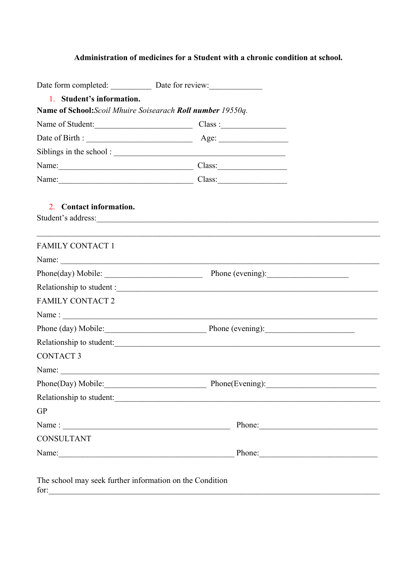# **Administration of medicines for a Student with a chronic condition at school.**

| 1. Student's information.                                        |                                                                                                                                                                                                                                |  |  |  |
|------------------------------------------------------------------|--------------------------------------------------------------------------------------------------------------------------------------------------------------------------------------------------------------------------------|--|--|--|
| Name of School: Scoil Mhuire Soisearach Roll number 19550q.      |                                                                                                                                                                                                                                |  |  |  |
|                                                                  | Name of Student: Class :                                                                                                                                                                                                       |  |  |  |
|                                                                  |                                                                                                                                                                                                                                |  |  |  |
|                                                                  |                                                                                                                                                                                                                                |  |  |  |
|                                                                  | Name: Class: Class:                                                                                                                                                                                                            |  |  |  |
|                                                                  | Name: Class: Class:                                                                                                                                                                                                            |  |  |  |
| 2. Contact information.                                          | Student's address:                                                                                                                                                                                                             |  |  |  |
| <b>FAMILY CONTACT 1</b>                                          |                                                                                                                                                                                                                                |  |  |  |
|                                                                  |                                                                                                                                                                                                                                |  |  |  |
|                                                                  |                                                                                                                                                                                                                                |  |  |  |
|                                                                  |                                                                                                                                                                                                                                |  |  |  |
| <b>FAMILY CONTACT 2</b>                                          |                                                                                                                                                                                                                                |  |  |  |
|                                                                  | Name: $\frac{1}{2}$                                                                                                                                                                                                            |  |  |  |
|                                                                  | Phone (day) Mobile: Phone (evening):                                                                                                                                                                                           |  |  |  |
|                                                                  | Relationship to student:                                                                                                                                                                                                       |  |  |  |
| <b>CONTACT 3</b>                                                 |                                                                                                                                                                                                                                |  |  |  |
|                                                                  | Name: $\frac{1}{2}$                                                                                                                                                                                                            |  |  |  |
|                                                                  | Phone(Day) Mobile: Phone(Evening):                                                                                                                                                                                             |  |  |  |
|                                                                  |                                                                                                                                                                                                                                |  |  |  |
| GP                                                               |                                                                                                                                                                                                                                |  |  |  |
| Name: $\frac{1}{2}$                                              | Phone:                                                                                                                                                                                                                         |  |  |  |
| <b>CONSULTANT</b>                                                |                                                                                                                                                                                                                                |  |  |  |
|                                                                  | Name: Phone: Phone: Phone: Phone: Phone: Phone: Phone: Phone: Phone: Phone: Phone: Phone: Phone: Phone: Phone: Phone: Phone: Phone: Phone: Phone: Phone: Phone: Phone: Phone: Phone: Phone: Phone: Phone: Phone: Phone: Phone: |  |  |  |
| The school may seek further information on the Condition<br>for: |                                                                                                                                                                                                                                |  |  |  |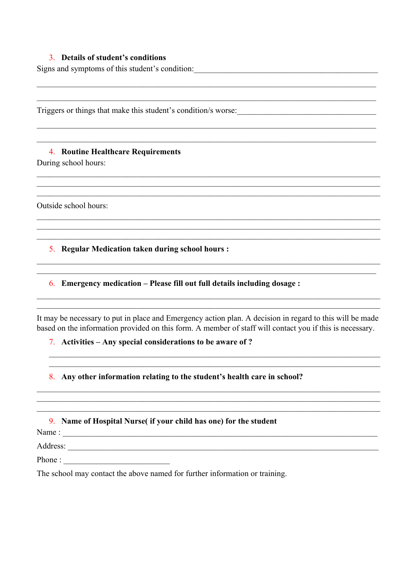### 3. Details of student's conditions

Signs and symptoms of this student's condition:

Triggers or things that make this student's condition/s worse:

4. Routine Healthcare Requirements

During school hours:

Outside school hours:

5. Regular Medication taken during school hours :

6. Emergency medication – Please fill out full details including dosage :

It may be necessary to put in place and Emergency action plan. A decision in regard to this will be made based on the information provided on this form. A member of staff will contact you if this is necessary.

### 7. Activities  $-$  Any special considerations to be aware of ?

8. Any other information relating to the student's health care in school?

|  | 9. Name of Hospital Nurse (if your child has one) for the student |  |  |  |
|--|-------------------------------------------------------------------|--|--|--|
|--|-------------------------------------------------------------------|--|--|--|

Name: 1. 2008. The contract of the contract of the contract of the contract of the contract of the contract of the contract of the contract of the contract of the contract of the contract of the contract of the contract of

The school may contact the above named for further information or training.